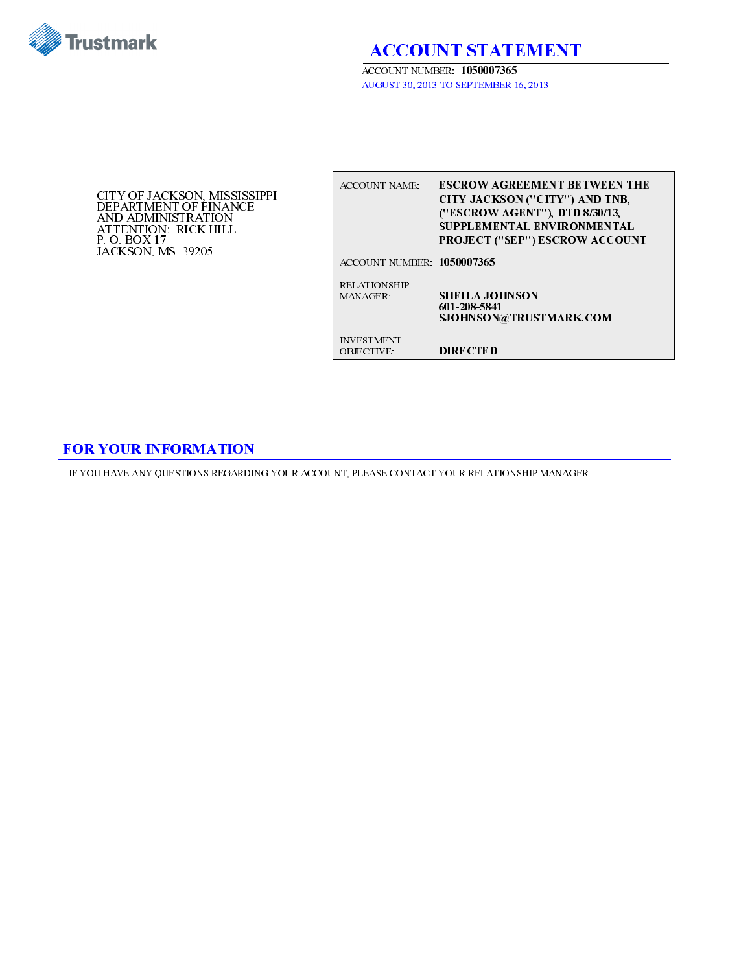

ACCOUNT STATEMENT

ACCOUNT NUMBER: 1050007365 AUGUST 30, 2013 TO SEPTEMBER 16, 2013

CITY OF JACKSON, MISSISSIPPI DEPARTMENT OF FINANCE AND ADMINISTRATION ATTENTION: RICK HILL P. O. BOX 17 JACKSON, MS 39205

| ACCOUNT NAME                           | <b>ESCROW AGREEMENT BETWEEN THE</b><br>CITY JACKSON ("CITY") AND TNB,<br>("ESCROW AGENT"), DTD 8/30/13,<br>SUPPLEMENTAL ENVIRONMENTAL<br><b>PROJECT ("SEP") ESCROW ACCOUNT</b> |
|----------------------------------------|--------------------------------------------------------------------------------------------------------------------------------------------------------------------------------|
| ACCOUNT NUMBER 1050007365              |                                                                                                                                                                                |
| <b>RELATIONSHIP</b><br>MAN AGER -      | <b>SHEILA JOHNSON</b><br>601-208-5841<br>SJOHNSON@TRUSTMARK.COM                                                                                                                |
| <b>INVESTMENT</b><br><b>OBJECTIVE:</b> | <b>DIRECTED</b>                                                                                                                                                                |

## FOR YOUR INFORMATION

IF YOU HAVE ANY QUESTIONS REGARDING YOUR ACCOUNT, PLEASE CONTACT YOUR RELATIONSHIP MANAGER.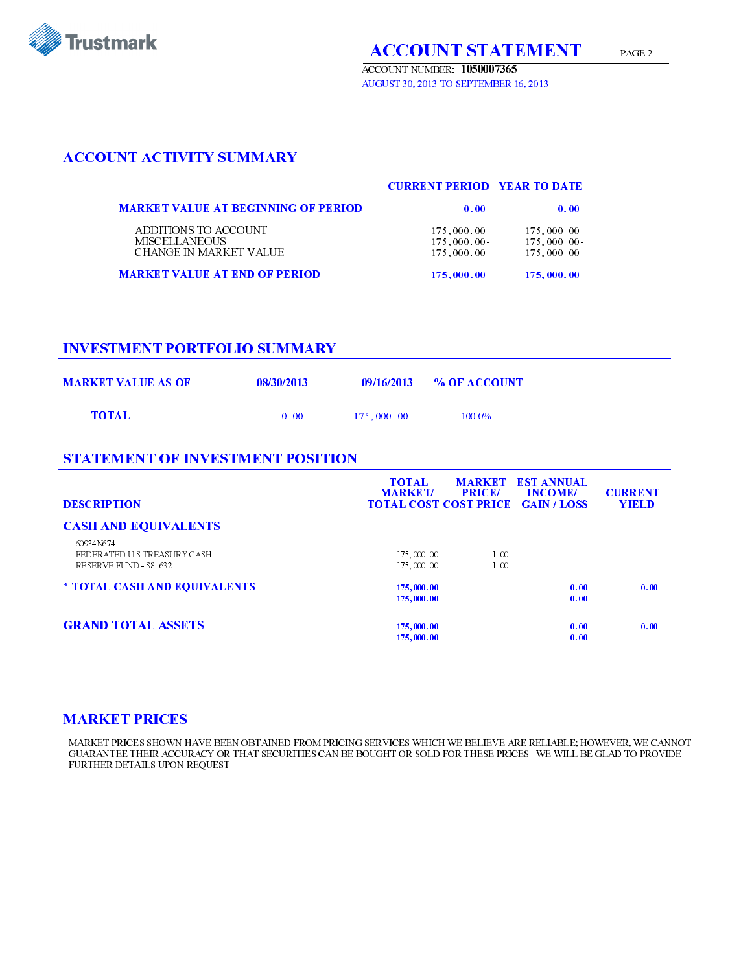

ACCOUNT NUMBER: 1050007365 AUGUST 30, 2013 TO SEPTEMBER 16, 2013

## ACCOUNT ACTIVITY SUMMARY

|                                                                        | <b>CURRENT PERIOD VEAR TO DATE</b>     |                                        |
|------------------------------------------------------------------------|----------------------------------------|----------------------------------------|
| <b>MARKET VALUE AT BEGINNING OF PERIOD</b>                             | 0.00                                   | 0.00                                   |
| ADDITIONS TO ACCOUNT<br><b>MISCELLANEOUS</b><br>CHANGE IN MARKET VALUE | 175,000.00<br>175,000,00<br>175,000.00 | 175,000.00<br>175,000.00<br>175,000.00 |
| <b>MARKET VALUE AT END OF PERIOD</b>                                   | 175,000.00                             | 175,000.00                             |

#### INVESTMENT PORTFOLIO SUMMARY

| <b>MARKET VALUE AS OF</b> | 08/30/2013 |            | $09/16/2013$ % OF ACCOUNT |
|---------------------------|------------|------------|---------------------------|
| TOTAL                     | 0.00       | 175.000.00 | $100.0\%$                 |

#### STATEMENT OF INVESTMENT POSITION

| <b>DESCRIPTION</b>           | <b>TOTAL</b><br><b>MARKET/</b><br><b>TOTAL COST COST PRICE GAIN/LOSS</b> | <b>MARKET</b><br><b>PRICE/</b> | <b>EST ANNUAL</b><br><b>INCOME/</b> | <b>CURRENT</b><br><b>YIELD</b> |
|------------------------------|--------------------------------------------------------------------------|--------------------------------|-------------------------------------|--------------------------------|
| <b>CASH AND EQUIVALENTS</b>  |                                                                          |                                |                                     |                                |
| 60934N674                    |                                                                          |                                |                                     |                                |
| FEDERATED US TREASURY CASH   | 175,000.00                                                               | 1.00                           |                                     |                                |
| RESERVE FUND - SS 632        | 175,000.00                                                               | 1.00                           |                                     |                                |
| * TOTAL CASH AND EQUIVALENTS | 175,000.00                                                               |                                | 0.00                                | 0.00                           |
|                              | 175,000.00                                                               |                                | 0.00                                |                                |
| <b>GRAND TOTAL ASSETS</b>    |                                                                          |                                |                                     |                                |
|                              | 175,000.00                                                               |                                | 0.00                                | 0.00                           |
|                              | 175,000.00                                                               |                                | 0.00                                |                                |

#### MARKET PRICES

MARKET PRICES SHOWN HAVE BEEN OBTAINED FROM PRICING SERVICES WHICH WE BELIEVE ARE RELIABLE; HOWEVER, WE CANNOT GUARANTEE THEIR ACCURACY OR THAT SECURITIES CAN BE BOUGHT OR SOLD FOR THESE PRICES. WE WILL BE GLAD TO PROVIDE FURTHER DETAILS UPON REQUEST.